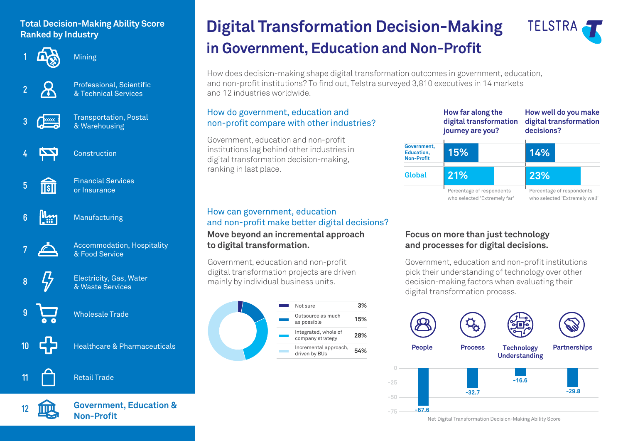## **Total Decision-Making Ability Score Ranked by Industry**



**Mining** 



Professional, Scientific & Technical Services



Transportation, Postal & Warehousing

Financial Services or Insurance



Construction

- **5**  $\overline{\text{TSII}}$
- اسيالا **6**

Manufacturing



Accommodation, Hospitality & Food Service



**9**

**10**

**11**

Electricity, Gas, Water & Waste Services

Wholesale Trade

Healthcare & Pharmaceuticals

# Retail Trade



**Government, Education & Non-Profit** 

# **in Government, Education and Non-Profit Digital Transformation Decision-Making**



How does decision-making shape digital transformation outcomes in government, education, and non-profit institutions? To find out, Telstra surveyed 3,810 executives in 14 markets and 12 industries worldwide.

## How do government, education and non-profit compare with other industries?

Government, education and non-profit institutions lag behind other industries in digital transformation decision-making, ranking in last place.

|                                                | How far along the<br>digital transformation<br>journey are you? |  | How well do you make<br>digital transformation<br>decisions? |                               |
|------------------------------------------------|-----------------------------------------------------------------|--|--------------------------------------------------------------|-------------------------------|
| Government,<br>Education,<br><b>Non-Profit</b> | 15%                                                             |  | 14%                                                          |                               |
| Global                                         | 21%                                                             |  | 23%                                                          |                               |
|                                                | Percentage of respondents<br>who selected 'Extremely far'       |  | Percentage of respondents                                    | who selected 'Extremely well' |

### **Move beyond an incremental approach to digital transformation.** How can government, education and non-profit make better digital decisions?

Government, education and non-profit digital transformation projects are driven mainly by individual business units.



## **Focus on more than just technology and processes for digital decisions.**

Government, education and non-profit institutions pick their understanding of technology over other decision-making factors when evaluating their digital transformation process.



Net Digital Transformation Decision-Making Ability Score